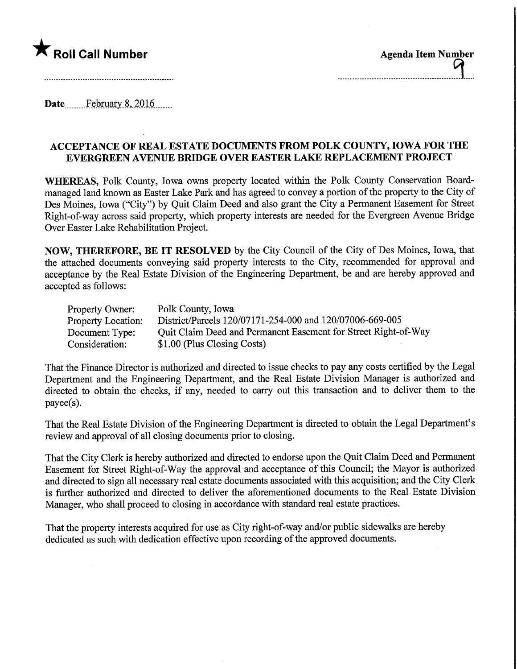

Date........February.8,.2Q16.

## ACCEPTANCE OF REAL ESTATE DOCUMENTS FROM POLK COUNTY, IOWA FOR THE EVERGREEN AVENUE BMDGE OVER EASTER LAKE REPLACEMENT PROJECT

WHEREAS, Polk County, Iowa owns property located within the Polk County Conservation Boardmanaged land known as Easter Lake Park and has agreed to convey a portion of the property to the City of Des Moines, Iowa ("City") by Quit Claim Deed and also grant the City a Permanent Easement for Street Right-of-way across said property, which property interests are needed for the Evergreen Avenue Bridge Over Easter Lake Rehabilitation Project.

NOW, THEREFORE, BE IT RESOLVED by the City Council of the City of Des Moines, Iowa, that the attached documents conveying said property interests to the City, recommended for approval and acceptance by the Real Estate Division of the Engineering Department, be and are hereby approved and accepted as follows:

| Property Owner:           | Polk County, Iowa                                              |
|---------------------------|----------------------------------------------------------------|
| <b>Property Location:</b> | District/Parcels 120/07171-254-000 and 120/07006-669-005       |
| Document Type:            | Quit Claim Deed and Permanent Easement for Street Right-of-Way |
| Consideration:            | \$1.00 (Plus Closing Costs)                                    |

That the Finance Director is authorized and directed to issue checks to pay any costs certified by the Legal Department and the Engineering Department, and the Real Estate Division Manager is authorized and directed to obtain the checks, if any, needed to carry out this transaction and to deliver them to the payee(s).

That the Real Estate Division of the Engineering Department is directed to obtain the Legal Department's review and approval of all closing documents prior to closing.

That the City Clerk is hereby authorized and directed to endorse upon the Quit Claim Deed and Permanent Easement for Street Right-of-Way the approval and acceptance of this Council; the Mayor is authorized and directed to sign all necessary real estate documents associated with this acquisition; and the City Clerk is further authorized and directed to deliver the aforementioned documents to the Real Estate Division Manager, who shall proceed to closing in accordance with standard real estate practices.

That the property interests acquired for use as City right-of-way and/or public sidewalks are hereby dedicated as such with dedication effective upon recording of the approved documents.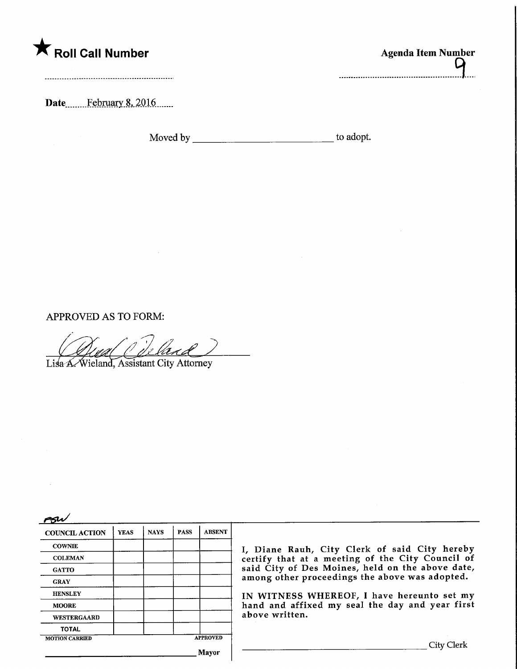

| <b>Roll Call Number</b> | <b>Agenda Item Number</b> |
|-------------------------|---------------------------|
|                         |                           |

Date.............February 8, 2016.......

Moved by to adopt.

APPROVED AS TO FORM:

Lisa A. Wieland, Assistant City Attorney

 $\approx$ 

| <b>COUNCIL ACTION</b> | <b>YEAS</b> | <b>NAYS</b>     | <b>PASS</b> | <b>ABSENT</b> |
|-----------------------|-------------|-----------------|-------------|---------------|
| <b>COWNIE</b>         |             |                 |             |               |
| <b>COLEMAN</b>        |             |                 |             |               |
| <b>GATTO</b>          |             |                 |             |               |
| <b>GRAY</b>           |             |                 |             |               |
| <b>HENSLEY</b>        |             |                 |             |               |
| <b>MOORE</b>          |             |                 |             |               |
| <b>WESTERGAARD</b>    |             |                 |             |               |
| <b>TOTAL</b>          |             |                 |             |               |
| <b>MOTION CARRIED</b> |             | <b>APPROVED</b> |             |               |
|                       |             |                 |             |               |

I, Diane Rauh, City Clerk of said City hereby certify that at a meeting of the City Council of said City of Des Moines, held on the above date, among other proceedings the above was adopted.

IN WITNESS WHEREOF, I have hereunto set my hand and affixed my seal the day and year first above written.

Mayor